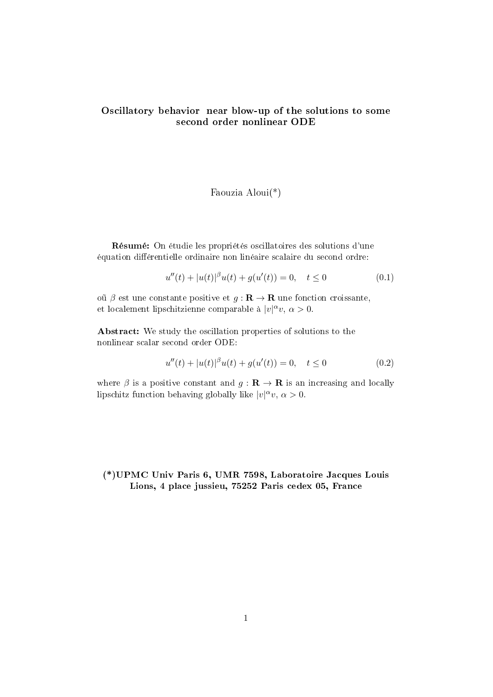## Oscillatory behavior near blow-up of the solutions to some second order nonlinear ODE

#### Faouzia Aloui(\*)

Résumé: On étudie les propriétés oscillatoires des solutions d'une équation différentielle ordinaire non linéaire scalaire du second ordre:

$$
u''(t) + |u(t)|^{\beta}u(t) + g(u'(t)) = 0, \quad t \le 0
$$
\n(0.1)

oũ β est une constante positive et  $g: \mathbf{R} \to \mathbf{R}$  une fonction croissante, et localement lipschitzienne comparable à  $|v|^\alpha v, \alpha > 0$ .

Abstract: We study the oscillation properties of solutions to the nonlinear scalar second order ODE:

$$
u''(t) + |u(t)|^{\beta}u(t) + g(u'(t)) = 0, \quad t \le 0
$$
\n(0.2)

where  $\beta$  is a positive constant and  $g: \mathbf{R} \to \mathbf{R}$  is an increasing and locally lipschitz function behaving globally like  $|v|^\alpha v$ ,  $\alpha > 0$ .

### (\*)UPMC Univ Paris 6, UMR 7598, Laboratoire Jacques Louis Lions, 4 place jussieu, 75252 Paris cedex 05, France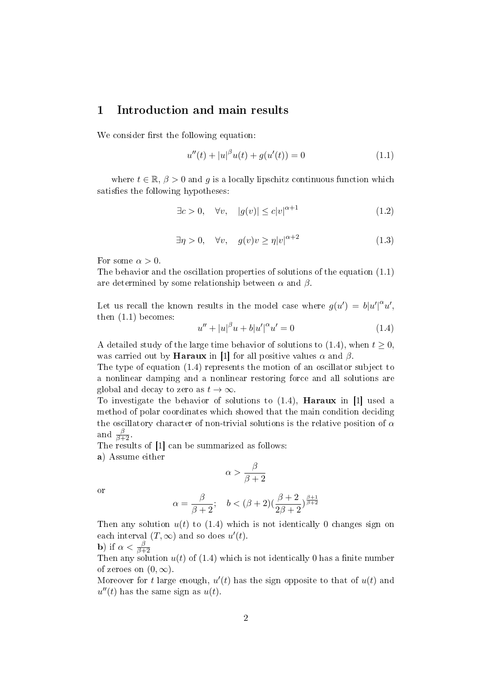## 1 Introduction and main results

We consider first the following equation:

$$
u''(t) + |u|^{\beta}u(t) + g(u'(t)) = 0
$$
\n(1.1)

where  $t \in \mathbb{R}, \beta > 0$  and g is a locally lipschitz continuous function which satisfies the following hypotheses:

$$
\exists c > 0, \quad \forall v, \quad |g(v)| \le c|v|^{\alpha + 1} \tag{1.2}
$$

$$
\exists \eta > 0, \quad \forall v, \quad g(v)v \ge \eta |v|^{\alpha + 2} \tag{1.3}
$$

For some  $\alpha > 0$ .

The behavior and the oscillation properties of solutions of the equation (1.1) are determined by some relationship between  $\alpha$  and  $\beta$ .

Let us recall the known results in the model case where  $g(u') = b|u'|^{\alpha}u'$ , then (1.1) becomes:

$$
u'' + |u|^\beta u + b|u'|^\alpha u' = 0 \tag{1.4}
$$

A detailed study of the large time behavior of solutions to  $(1.4)$ , when  $t \geq 0$ , was carried out by **Haraux** in [1] for all positive values  $\alpha$  and  $\beta$ .

The type of equation (1.4) represents the motion of an oscillator subject to a nonlinear damping and a nonlinear restoring force and all solutions are global and decay to zero as  $t \to \infty$ .

To investigate the behavior of solutions to (1.4), Haraux in [1] used a method of polar coordinates which showed that the main condition deciding the oscillatory character of non-trivial solutions is the relative position of  $\alpha$ and  $\frac{\beta}{\beta+2}$ .

The results of [1] can be summarized as follows:

a) Assume either

$$
\alpha > \frac{\beta}{\beta+2}
$$

or

$$
\alpha=\frac{\beta}{\beta+2};\quad b<(\beta+2)(\frac{\beta+2}{2\beta+2})^{\frac{\beta+1}{\beta+2}}
$$

Then any solution  $u(t)$  to (1.4) which is not identically 0 changes sign on each interval  $(T, \infty)$  and so does  $u'(t)$ .

**b**) if 
$$
\alpha < \frac{\beta}{\beta+2}
$$

 $B$ )  $\mu$   $\alpha$   $>$   $\beta$ +2<br>Then any solution  $u(t)$  of (1.4) which is not identically 0 has a finite number of zeroes on  $(0, \infty)$ .

Moreover for t large enough,  $u'(t)$  has the sign opposite to that of  $u(t)$  and  $u''(t)$  has the same sign as  $u(t)$ .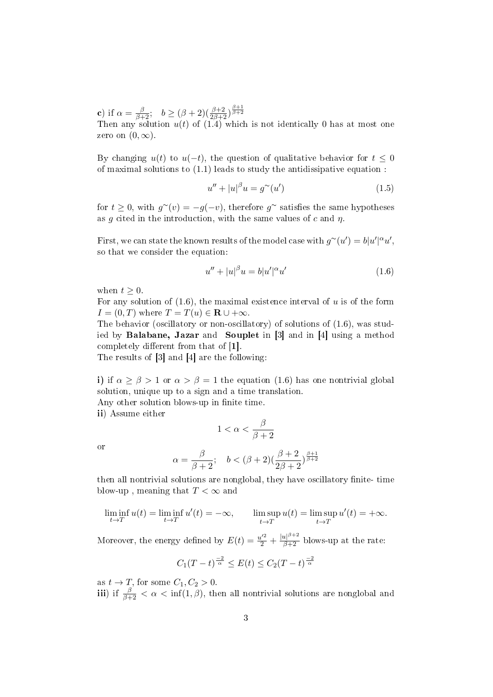**c**) if  $\alpha = \frac{\beta}{\beta+2}$ ;  $b \geq (\beta+2)(\frac{\beta+2}{2\beta+2})^{\frac{\beta+1}{\beta+2}}$ 

Then any solution  $u(t)$  of  $(1.4)$  which is not identically 0 has at most one zero on  $(0, \infty)$ .

By changing  $u(t)$  to  $u(-t)$ , the question of qualitative behavior for  $t \leq 0$ of maximal solutions to  $(1.1)$  leads to study the antidissipative equation :

$$
u'' + |u|^\beta u = g^\sim(u') \tag{1.5}
$$

for  $t \geq 0$ , with  $g^{\sim}(v) = -g(-v)$ , therefore  $g^{\sim}$  satisfies the same hypotheses as g cited in the introduction, with the same values of c and  $\eta$ .

First, we can state the known results of the model case with  $g^{\sim}(u') = b|u'|^{\alpha}u'$ , so that we consider the equation:

$$
u'' + |u|^\beta u = b|u'|^\alpha u'
$$
\n(1.6)

when  $t > 0$ .

For any solution of  $(1.6)$ , the maximal existence interval of u is of the form  $I = (0, T)$  where  $T = T(u) \in \mathbf{R} \cup +\infty$ .

The behavior (oscillatory or non-oscillatory) of solutions of (1.6), was studied by Balabane, Jazar and Souplet in [3] and in [4] using a method completely different from that of  $[1]$ .

The results of [3] and [4] are the following:

i) if  $\alpha \ge \beta > 1$  or  $\alpha > \beta = 1$  the equation (1.6) has one nontrivial global solution, unique up to a sign and a time translation.

Any other solution blows-up in finite time.

ii) Assume either

$$
1 < \alpha < \frac{\beta}{\beta + 2}
$$

or

$$
\alpha = \frac{\beta}{\beta + 2}; \quad b < (\beta + 2)(\frac{\beta + 2}{2\beta + 2})^{\frac{\beta + 1}{\beta + 2}}
$$

then all nontrivial solutions are nonglobal, they have oscillatory finite- time blow-up, meaning that  $T < \infty$  and

$$
\liminf_{t \to T} u(t) = \liminf_{t \to T} u'(t) = -\infty, \qquad \limsup_{t \to T} u(t) = \limsup_{t \to T} u'(t) = +\infty.
$$

Moreover, the energy defined by  $E(t) = \frac{u'^2}{2} + \frac{|u|^{\beta+2}}{\beta+2}$  blows-up at the rate:

$$
C_1(T-t)^{\frac{-2}{\alpha}} \le E(t) \le C_2(T-t)^{\frac{-2}{\alpha}}
$$

as  $t \to T$ , for some  $C_1, C_2 > 0$ .

iii) if  $\frac{\beta}{\beta+2} < \alpha < \inf(1,\beta)$ , then all nontrivial solutions are nonglobal and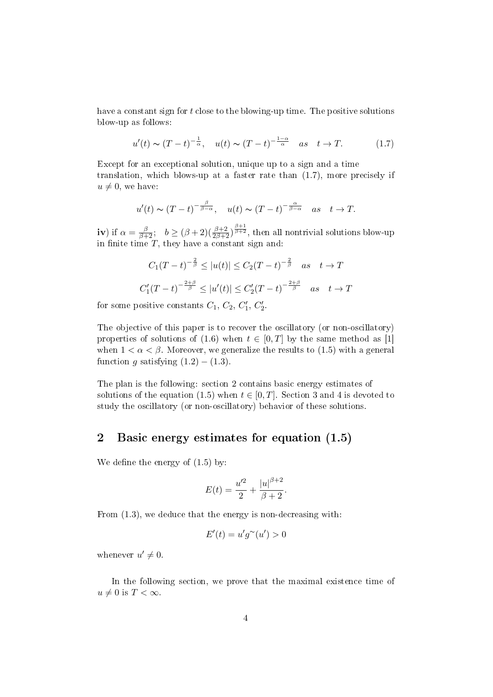have a constant sign for t close to the blowing-up time. The positive solutions blow-up as follows:

$$
u'(t) \sim (T-t)^{-\frac{1}{\alpha}}, \quad u(t) \sim (T-t)^{-\frac{1-\alpha}{\alpha}} \quad as \quad t \to T. \tag{1.7}
$$

Except for an exceptional solution, unique up to a sign and a time translation, which blows-up at a faster rate than (1.7), more precisely if  $u \neq 0$ , we have:

$$
u'(t) \sim (T-t)^{-\frac{\beta}{\beta-\alpha}}, \quad u(t) \sim (T-t)^{-\frac{\alpha}{\beta-\alpha}} \quad as \quad t \to T.
$$

iv) if  $\alpha = \frac{\beta}{\beta+2}$ ;  $b \geq (\beta+2)(\frac{\beta+2}{2\beta+2})^{\frac{\beta+1}{\beta+2}}$ , then all nontrivial solutions blow-up in finite time  $T$ , they have a constant sign and:

$$
C_1(T-t)^{-\frac{2}{\beta}} \le |u(t)| \le C_2(T-t)^{-\frac{2}{\beta}} \quad as \quad t \to T
$$
  

$$
C'_1(T-t)^{-\frac{2+\beta}{\beta}} \le |u'(t)| \le C'_2(T-t)^{-\frac{2+\beta}{\beta}} \quad as \quad t \to T
$$

for some positive constants  $C_1, C_2, C'_1, C'_2$ .

The objective of this paper is to recover the oscillatory (or non-oscillatory) properties of solutions of (1.6) when  $t \in [0, T]$  by the same method as [1] when  $1 < \alpha < \beta$ . Moreover, we generalize the results to (1.5) with a general function g satisfying  $(1.2) - (1.3)$ .

The plan is the following: section 2 contains basic energy estimates of solutions of the equation (1.5) when  $t \in [0, T]$ . Section 3 and 4 is devoted to study the oscillatory (or non-oscillatory) behavior of these solutions.

### 2 Basic energy estimates for equation (1.5)

We define the energy of  $(1.5)$  by:

$$
E(t) = \frac{u'^2}{2} + \frac{|u|^{\beta+2}}{\beta+2}.
$$

From (1.3), we deduce that the energy is non-decreasing with:

$$
E'(t) = u'g^{\sim}(u') > 0
$$

whenever  $u' \neq 0$ .

In the following section, we prove that the maximal existence time of  $u \neq 0$  is  $T < \infty$ .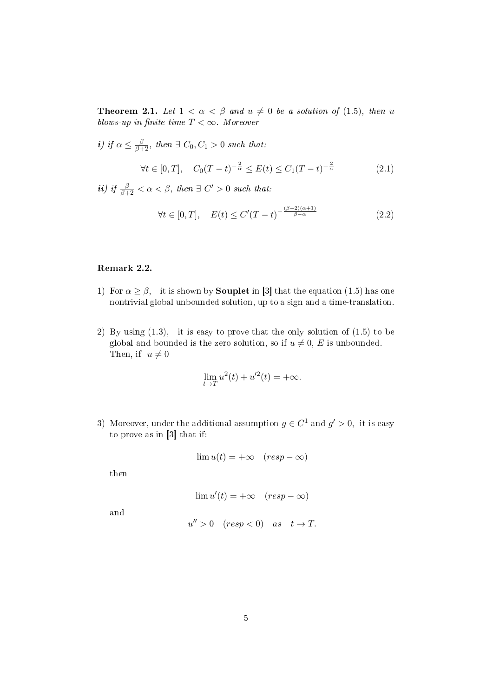**Theorem 2.1.** Let  $1 < \alpha < \beta$  and  $u \neq 0$  be a solution of (1.5), then u blows-up in finite time  $T < \infty$ . Moreover

*i*) if  $\alpha \leq \frac{\beta}{\beta+2}$ , then  $\exists C_0, C_1 > 0$  such that:

$$
\forall t \in [0, T], \quad C_0(T - t)^{-\frac{2}{\alpha}} \le E(t) \le C_1(T - t)^{-\frac{2}{\alpha}}
$$
(2.1)

*ii*) if  $\frac{\beta}{\beta+2} < \alpha < \beta$ , then  $\exists C' > 0$  such that:

$$
\forall t \in [0, T], \quad E(t) \le C'(T - t)^{-\frac{(\beta + 2)(\alpha + 1)}{\beta - \alpha}} \tag{2.2}
$$

### Remark 2.2.

- 1) For  $\alpha \geq \beta$ , it is shown by **Souplet** in [3] that the equation (1.5) has one nontrivial global unbounded solution, up to a sign and a time-translation.
- 2) By using (1.3), it is easy to prove that the only solution of (1.5) to be global and bounded is the zero solution, so if  $u \neq 0$ , E is unbounded. Then, if  $u \neq 0$

$$
\lim_{t \to T} u^2(t) + u^2(t) = +\infty.
$$

3) Moreover, under the additional assumption  $g \in C^1$  and  $g' > 0$ , it is easy to prove as in [3] that if:

$$
\lim u(t) = +\infty \quad (resp -\infty)
$$

then

$$
\lim u'(t) = +\infty \quad (resp -\infty)
$$

and

$$
u'' > 0 \quad (resp < 0) \quad as \quad t \to T.
$$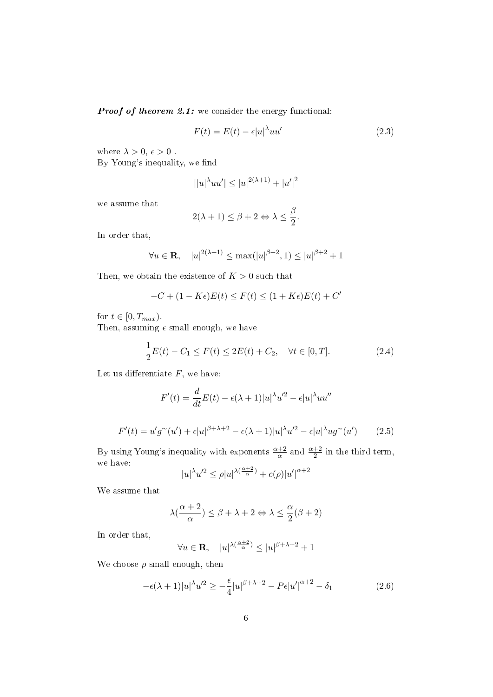**Proof of theorem 2.1:** we consider the energy functional:

$$
F(t) = E(t) - \epsilon |u|^{\lambda} u u'
$$
\n(2.3)

where  $\lambda > 0, \, \epsilon > 0$ .

By Young's inequality, we find

$$
||u|^{\lambda}uu'|\leq |u|^{2(\lambda+1)}+|u'|^2
$$

we assume that

$$
2(\lambda + 1) \le \beta + 2 \Leftrightarrow \lambda \le \frac{\beta}{2}.
$$

In order that,

$$
\forall u \in \mathbf{R}, \quad |u|^{2(\lambda+1)} \le \max(|u|^{\beta+2}, 1) \le |u|^{\beta+2} + 1
$$

Then, we obtain the existence of  $K > 0$  such that

$$
-C + (1 - K\epsilon)E(t) \le F(t) \le (1 + K\epsilon)E(t) + C'
$$

for  $t \in [0, T_{max})$ .

Then, assuming  $\epsilon$  small enough, we have

$$
\frac{1}{2}E(t) - C_1 \le F(t) \le 2E(t) + C_2, \quad \forall t \in [0, T].
$$
\n(2.4)

Let us differentiate  $F$ , we have:

$$
F'(t) = \frac{d}{dt}E(t) - \epsilon(\lambda + 1)|u|^{\lambda}u'^2 - \epsilon|u|^{\lambda}uu''
$$
  

$$
F'(t) = u'g^{\sim}(u') + \epsilon|u|^{\beta + \lambda + 2} - \epsilon(\lambda + 1)|u|^{\lambda}u'^2 - \epsilon|u|^{\lambda}ug^{\sim}(u')
$$
 (2.5)

By using Young's inequality with exponents  $\frac{\alpha+2}{\alpha}$  and  $\frac{\alpha+2}{2}$  in the third term, we have:

$$
|u|^{\lambda}u'^{2} \leq \rho |u|^{\lambda(\frac{\alpha+2}{\alpha})} + c(\rho)|u'|^{\alpha+2}
$$

We assume that

$$
\lambda(\frac{\alpha+2}{\alpha}) \le \beta + \lambda + 2 \Leftrightarrow \lambda \le \frac{\alpha}{2}(\beta+2)
$$

In order that,

$$
\forall u \in \mathbf{R}, \quad |u|^{\lambda(\frac{\alpha+2}{\alpha})} \le |u|^{\beta+\lambda+2} + 1
$$

We choose  $\rho$  small enough, then

$$
-\epsilon(\lambda+1)|u|^{\lambda}u'^{2} \geq -\frac{\epsilon}{4}|u|^{\beta+\lambda+2} - P\epsilon|u'|^{\alpha+2} - \delta_{1}
$$
\n(2.6)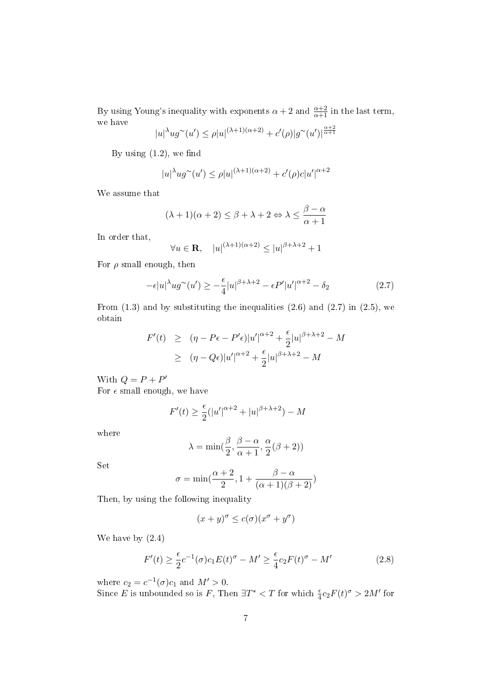By using Young's inequality with exponents  $\alpha + 2$  and  $\frac{\alpha+2}{\alpha+1}$  in the last term, we have  $\alpha + 2$ 

$$
|u|^{\lambda}ug^{\sim}(u') \le \rho |u|^{(\lambda+1)(\alpha+2)} + c'(\rho)|g^{\sim}(u')|^{\frac{\alpha+2}{\alpha+1}}
$$

By using  $(1.2)$ , we find

$$
|u|^{\lambda}ug^{\sim}(u') \le \rho |u|^{(\lambda+1)(\alpha+2)} + c'(\rho)c|u'|^{\alpha+2}
$$

We assume that

$$
(\lambda + 1)(\alpha + 2) \le \beta + \lambda + 2 \Leftrightarrow \lambda \le \frac{\beta - \alpha}{\alpha + 1}
$$

In order that,

$$
\forall u \in \mathbf{R}, \quad |u|^{(\lambda+1)(\alpha+2)} \le |u|^{\beta+\lambda+2} + 1
$$

For  $\rho$  small enough, then

$$
-\epsilon |u|^{\lambda} u g^{\sim}(u') \ge -\frac{\epsilon}{4} |u|^{\beta + \lambda + 2} - \epsilon P' |u'|^{\alpha + 2} - \delta_2 \tag{2.7}
$$

From  $(1.3)$  and by substituting the inequalities  $(2.6)$  and  $(2.7)$  in  $(2.5)$ , we obtain

$$
F'(t) \geq (\eta - P\epsilon - P'\epsilon)|u'|^{\alpha+2} + \frac{\epsilon}{2}|u|^{\beta+\lambda+2} - M
$$
  
 
$$
\geq (\eta - Q\epsilon)|u'|^{\alpha+2} + \frac{\epsilon}{2}|u|^{\beta+\lambda+2} - M
$$

With  $Q = P + P'$ 

For  $\epsilon$  small enough, we have

$$
F'(t) \ge \frac{\epsilon}{2} (|u'|^{\alpha+2} + |u|^{\beta+\lambda+2}) - M
$$

where

$$
\lambda = \min(\frac{\beta}{2}, \frac{\beta - \alpha}{\alpha + 1}, \frac{\alpha}{2}(\beta + 2))
$$

Set

$$
\sigma = \min(\frac{\alpha + 2}{2}, 1 + \frac{\beta - \alpha}{(\alpha + 1)(\beta + 2)})
$$

Then, by using the following inequality

$$
(x+y)^{\sigma} \leq c(\sigma)(x^{\sigma} + y^{\sigma})
$$

We have by (2.4)

$$
F'(t) \ge \frac{\epsilon}{2}c^{-1}(\sigma)c_1E(t)^{\sigma} - M' \ge \frac{\epsilon}{4}c_2F(t)^{\sigma} - M'
$$
\n(2.8)

where  $c_2 = c^{-1}(\sigma)c_1$  and  $M' > 0$ .

Since E is unbounded so is F, Then  $\exists T^* < T$  for which  $\frac{\epsilon}{4}c_2F(t)^{\sigma} > 2M'$  for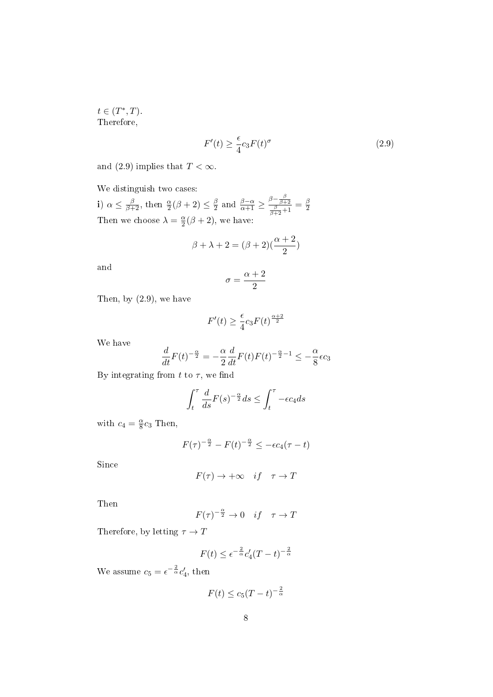$t \in (T^*,T)$ . Therefore,

$$
F'(t) \ge \frac{\epsilon}{4} c_3 F(t)^{\sigma} \tag{2.9}
$$

and (2.9) implies that  $T < \infty$ .

We distinguish two cases:

i)  $\alpha \leq \frac{\beta}{\beta+2}$ , then  $\frac{\alpha}{2}(\beta+2) \leq \frac{\beta}{2}$  $\frac{\beta}{2}$  and  $\frac{\beta-\alpha}{\alpha+1} \geq \frac{\beta-\frac{\beta}{\beta+2}}{\frac{\beta}{\beta+2}+1} = \frac{\beta}{2}$ 2 Then we choose  $\lambda = \frac{\alpha}{2}$  $\frac{\alpha}{2}(\beta+2)$ , we have:

$$
\beta+\lambda+2=(\beta+2)(\frac{\alpha+2}{2})
$$

and

$$
\sigma=\frac{\alpha+2}{2}
$$

Then, by (2.9), we have

$$
F'(t) \ge \frac{\epsilon}{4} c_3 F(t)^{\frac{\alpha+2}{2}}
$$

We have

$$
\frac{d}{dt}F(t)^{-\frac{\alpha}{2}} = -\frac{\alpha}{2}\frac{d}{dt}F(t)F(t)^{-\frac{\alpha}{2}-1} \leq -\frac{\alpha}{8}\epsilon c_3
$$

By integrating from t to  $\tau$ , we find

$$
\int_{t}^{\tau} \frac{d}{ds} F(s)^{-\frac{\alpha}{2}} ds \le \int_{t}^{\tau} -\epsilon c_4 ds
$$

with  $c_4 = \frac{\alpha}{8}$  $\frac{\alpha}{8}c_3$  Then,

$$
F(\tau)^{-\frac{\alpha}{2}} - F(t)^{-\frac{\alpha}{2}} \le -\epsilon c_4(\tau - t)
$$

Since

$$
F(\tau) \to +\infty \quad if \quad \tau \to T
$$

Then

$$
F(\tau)^{-\frac{\alpha}{2}} \to 0 \quad if \quad \tau \to T
$$

Therefore, by letting  $\tau \to T$ 

$$
F(t) \le \epsilon^{-\frac{2}{\alpha}} c_4'(T-t)^{-\frac{2}{\alpha}}
$$

We assume  $c_5 = \epsilon^{-\frac{2}{\alpha}} c_4'$ , then

$$
F(t) \le c_5(T-t)^{-\frac{2}{\alpha}}
$$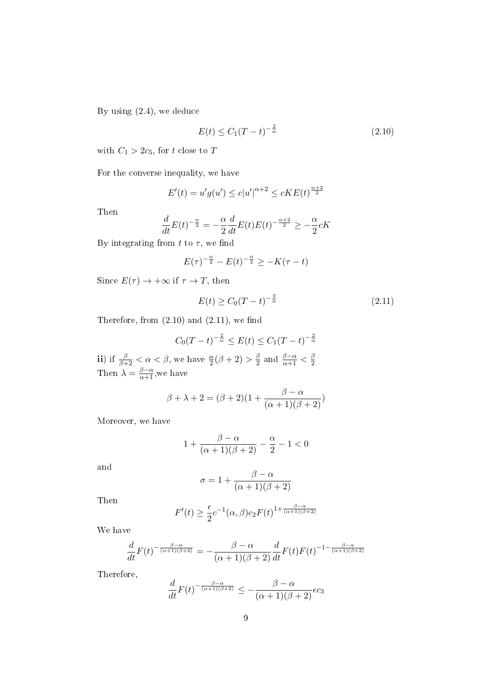By using (2.4), we deduce

$$
E(t) \le C_1 (T - t)^{-\frac{2}{\alpha}} \tag{2.10}
$$

with  $C_1 > 2c_5,$  for  $t$  close to  $\bar{T}$ 

For the converse inequality, we have

$$
E'(t) = u'g(u') \le c|u'|^{\alpha+2} \le cKE(t)^{\frac{\alpha+2}{2}}
$$

Then

$$
\frac{d}{dt}E(t)^{-\frac{\alpha}{2}} = -\frac{\alpha}{2}\frac{d}{dt}E(t)E(t)^{-\frac{\alpha+2}{2}} \ge -\frac{\alpha}{2}cK
$$

By integrating from t to  $\tau$ , we find

$$
E(\tau)^{-\frac{\alpha}{2}} - E(t)^{-\frac{\alpha}{2}} \ge -K(\tau - t)
$$

Since  $E(\tau) \to +\infty$  if  $\tau \to T$ , then

$$
E(t) \ge C_0 (T - t)^{-\frac{2}{\alpha}} \tag{2.11}
$$

Therefore, from  $(2.10)$  and  $(2.11)$ , we find

$$
C_0(T-t)^{-\frac{2}{\alpha}} \le E(t) \le C_1(T-t)^{-\frac{2}{\alpha}}
$$

ii) if  $\frac{\beta}{\beta+2} < \alpha < \beta$ , we have  $\frac{\alpha}{2}(\beta+2) > \frac{\beta}{2}$  $\frac{\beta}{2}$  and  $\frac{\beta-\alpha}{\alpha+1} < \frac{\beta}{2}$ 2 Then  $\lambda = \frac{\beta - \alpha}{\alpha + 1}$ , we have

$$
\beta + \lambda + 2 = (\beta + 2)(1 + \frac{\beta - \alpha}{(\alpha + 1)(\beta + 2)})
$$

Moreover, we have

$$
1+\frac{\beta-\alpha}{(\alpha+1)(\beta+2)}-\frac{\alpha}{2}-1<0
$$

and

$$
\sigma = 1 + \frac{\beta - \alpha}{(\alpha + 1)(\beta + 2)}
$$

Then

$$
F'(t) \ge \frac{\epsilon}{2} c^{-1}(\alpha, \beta) c_2 F(t)^{1 + \frac{\beta - \alpha}{(\alpha + 1)(\beta + 2)}}
$$

We have

$$
\frac{d}{dt}F(t)^{-\frac{\beta-\alpha}{(\alpha+1)(\beta+2)}} = -\frac{\beta-\alpha}{(\alpha+1)(\beta+2)}\frac{d}{dt}F(t)F(t)^{-1-\frac{\beta-\alpha}{(\alpha+1)(\beta+2)}}
$$

Therefore,

$$
\frac{d}{dt}F(t)^{-\frac{\beta-\alpha}{(\alpha+1)(\beta+2)}} \le -\frac{\beta-\alpha}{(\alpha+1)(\beta+2)}\epsilon c_3
$$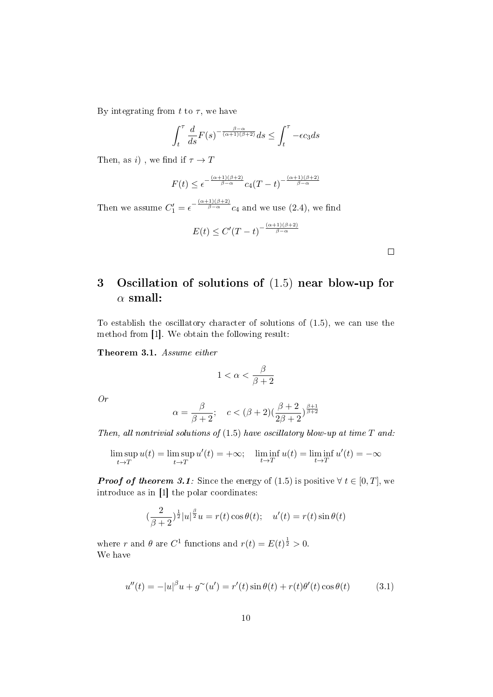By integrating from t to  $\tau$ , we have

$$
\int_{t}^{\tau} \frac{d}{ds} F(s)^{-\frac{\beta-\alpha}{(\alpha+1)(\beta+2)}} ds \le \int_{t}^{\tau} -\epsilon c_3 ds
$$

Then, as *i*), we find if  $\tau \to T$ 

$$
F(t) \leq e^{-\frac{(\alpha+1)(\beta+2)}{\beta-\alpha}} c_4(T-t)^{-\frac{(\alpha+1)(\beta+2)}{\beta-\alpha}}
$$

Then we assume  $C'_1 = \epsilon^{-\frac{(\alpha+1)(\beta+2)}{\beta-\alpha}} c_4$  and we use (2.4), we find

$$
E(t) \le C'(T-t)^{-\frac{(\alpha+1)(\beta+2)}{\beta-\alpha}}
$$

 $\Box$ 

# 3 Oscillation of solutions of (1.5) near blow-up for  $\alpha$  small:

To establish the oscillatory character of solutions of (1.5), we can use the method from [1]. We obtain the following result:

Theorem 3.1. Assume either

$$
1<\alpha<\frac{\beta}{\beta+2}
$$

Or

$$
\alpha = \frac{\beta}{\beta+2}; \quad c < (\beta+2)(\frac{\beta+2}{2\beta+2})^{\frac{\beta+1}{\beta+2}}
$$

Then, all nontrivial solutions of  $(1.5)$  have oscillatory blow-up at time  $T$  and:

$$
\limsup_{t \to T} u(t) = \limsup_{t \to T} u'(t) = +\infty; \quad \liminf_{t \to T} u(t) = \liminf_{t \to T} u'(t) = -\infty
$$

**Proof of theorem 3.1:** Since the energy of (1.5) is positive  $\forall t \in [0, T]$ , we introduce as in [1] the polar coordinates:

$$
(\frac{2}{\beta+2})^{\frac{1}{2}}|u|^{\frac{\beta}{2}}u = r(t)\cos\theta(t); \quad u'(t) = r(t)\sin\theta(t)
$$

where r and  $\theta$  are  $C^1$  functions and  $r(t) = E(t)^{\frac{1}{2}} > 0$ . We have

$$
u''(t) = -|u|^\beta u + g^\sim(u') = r'(t)\sin\theta(t) + r(t)\theta'(t)\cos\theta(t) \tag{3.1}
$$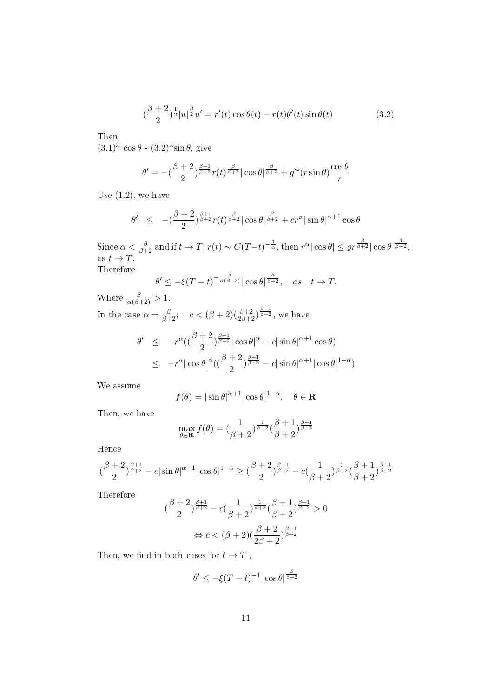$$
\left(\frac{\beta+2}{2}\right)^{\frac{1}{2}}|u|^{\frac{\beta}{2}}u' = r'(t)\cos\theta(t) - r(t)\theta'(t)\sin\theta(t) \tag{3.2}
$$

Then

 $(3.1)^* \cos \theta$  -  $(3.2)^* \sin \theta$ , give

$$
\theta' = -(\frac{\beta+2}{2})^{\frac{\beta+1}{\beta+2}} r(t)^{\frac{\beta}{\beta+2}} |\cos \theta|^{\frac{\beta}{\beta+2}} + g^{\sim}(r \sin \theta) \frac{\cos \theta}{r}
$$

Use  $(1.2)$ , we have

$$
\theta' \ \leq \ -(\frac{\beta+2}{2})^{\frac{\beta+1}{\beta+2}} r(t)^{\frac{\beta}{\beta+2}} |\cos \theta|^{\frac{\beta}{\beta+2}} + c r^{\alpha} |\sin \theta|^{\alpha+1} \cos \theta
$$

Since  $\alpha < \frac{\beta}{\beta+2}$  and if  $t \to T$ ,  $r(t) \sim C(T-t)^{-\frac{1}{\alpha}}$ , then  $r^{\alpha} |\cos \theta| \leq \varrho r^{\frac{\beta}{\beta+2}} |\cos \theta|^{\frac{\beta}{\beta+2}}$ , as  $t \to T$ . Therefore

$$
\theta' \le -\xi(T-t)^{-\frac{\beta}{\alpha(\beta+2)}} |\cos \theta|^{\frac{\beta}{\beta+2}}, \quad \text{as} \quad t \to T.
$$

Where  $\frac{\beta}{\alpha(\beta+2)} > 1$ . In the case  $\alpha = \frac{\beta}{\beta+2}$ ;  $c < (\beta+2)(\frac{\beta+2}{2\beta+2})^{\frac{\beta+1}{\beta+2}}$ , we have

$$
\theta' \le -r^{\alpha} \left( \left( \frac{\beta+2}{2} \right)^{\frac{\beta+1}{\beta+2}} \left| \cos \theta \right|^\alpha - c \left| \sin \theta \right|^{\alpha+1} \cos \theta \right) \le -r^{\alpha} \left| \cos \theta \right|^\alpha \left( \left( \frac{\beta+2}{2} \right)^{\frac{\beta+1}{\beta+2}} - c \left| \sin \theta \right|^{\alpha+1} \left| \cos \theta \right|^{1-\alpha} \right)
$$

We assume

$$
f(\theta) = |\sin \theta|^{\alpha + 1} |\cos \theta|^{1 - \alpha}, \quad \theta \in \mathbf{R}
$$

Then, we have

$$
\max_{\theta \in \mathbf{R}} f(\theta) = \left(\frac{1}{\beta+2}\right)^{\frac{1}{\beta+2}} \left(\frac{\beta+1}{\beta+2}\right)^{\frac{\beta+1}{\beta+2}}
$$

Hence

$$
\big(\frac{\beta+2}{2}\big)^{\frac{\beta+1}{\beta+2}}-c|\sin\theta|^{\alpha+1}|\cos\theta|^{1-\alpha}\geq \big(\frac{\beta+2}{2}\big)^{\frac{\beta+1}{\beta+2}}-c\big(\frac{1}{\beta+2}\big)^{\frac{1}{\beta+2}}\big(\frac{\beta+1}{\beta+2}\big)^{\frac{\beta+1}{\beta+2}}
$$

Therefore

$$
\left(\frac{\beta+2}{2}\right)^{\frac{\beta+1}{\beta+2}} - c\left(\frac{1}{\beta+2}\right)^{\frac{1}{\beta+2}} \left(\frac{\beta+1}{\beta+2}\right)^{\frac{\beta+1}{\beta+2}} > 0
$$
  

$$
\Leftrightarrow c < (\beta+2)\left(\frac{\beta+2}{2\beta+2}\right)^{\frac{\beta+1}{\beta+2}}
$$

Then, we find in both cases for  $t \to T$ ,

$$
\theta' \le -\xi (T-t)^{-1} |\cos \theta|^{\frac{\beta}{\beta+2}}
$$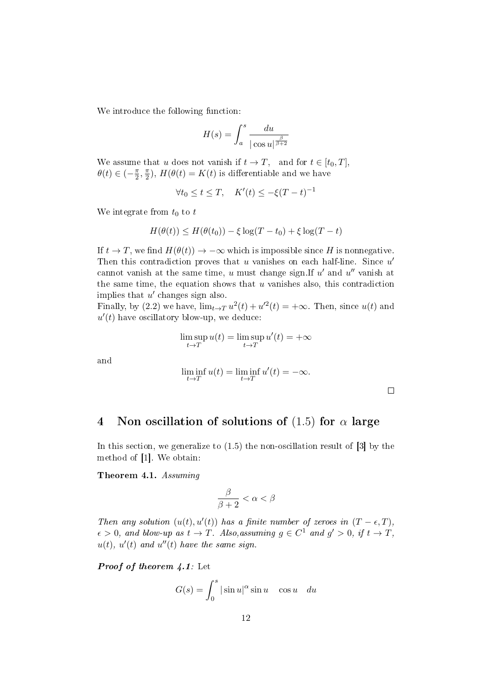We introduce the following function:

$$
H(s) = \int_{a}^{s} \frac{du}{|\cos u|^{\frac{\beta}{\beta+2}}}
$$

We assume that u does not vanish if  $t \to T$ , and for  $t \in [t_0, T]$ ,  $\theta(t) \in \left(-\frac{\pi}{2}\right)$  $\frac{\pi}{2}, \frac{\pi}{2}$  $(\frac{\pi}{2})$ ,  $H(\theta(t) = K(t)$  is differentiable and we have

$$
\forall t_0 \le t \le T, \quad K'(t) \le -\xi (T-t)^{-1}
$$

We integrate from  $t_0$  to  $t$ 

$$
H(\theta(t)) \le H(\theta(t_0)) - \xi \log(T - t_0) + \xi \log(T - t)
$$

If  $t \to T$ , we find  $H(\theta(t)) \to -\infty$  which is impossible since H is nonnegative. Then this contradiction proves that  $u$  vanishes on each half-line. Since  $u'$ cannot vanish at the same time,  $u$  must change sign. If  $u'$  and  $u''$  vanish at the same time, the equation shows that  $u$  vanishes also, this contradiction implies that  $u'$  changes sign also.

Finally, by (2.2) we have,  $\lim_{t\to T} u^2(t) + u'^2(t) = +\infty$ . Then, since  $u(t)$  and  $u'(t)$  have oscillatory blow-up, we deduce:

$$
\limsup_{t \to T} u(t) = \limsup_{t \to T} u'(t) = +\infty
$$

and

$$
\liminf_{t \to T} u(t) = \liminf_{t \to T} u'(t) = -\infty.
$$

 $\Box$ 

## 4 Non oscillation of solutions of  $(1.5)$  for  $\alpha$  large

In this section, we generalize to (1.5) the non-oscillation result of [3] by the method of [1]. We obtain:

Theorem 4.1. Assuming

$$
\frac{\beta}{\beta+2}<\alpha<\beta
$$

Then any solution  $(u(t), u'(t))$  has a finite number of zeroes in  $(T - \epsilon, T)$ ,  $\epsilon > 0$ , and blow-up as  $t \to T$ . Also, assuming  $g \in C^1$  and  $g' > 0$ , if  $t \to T$ ,  $u(t)$ ,  $u'(t)$  and  $u''(t)$  have the same sign.

**Proof of theorem 4.1:** Let

$$
G(s) = \int_0^s |\sin u|^\alpha \sin u \quad \cos u \quad du
$$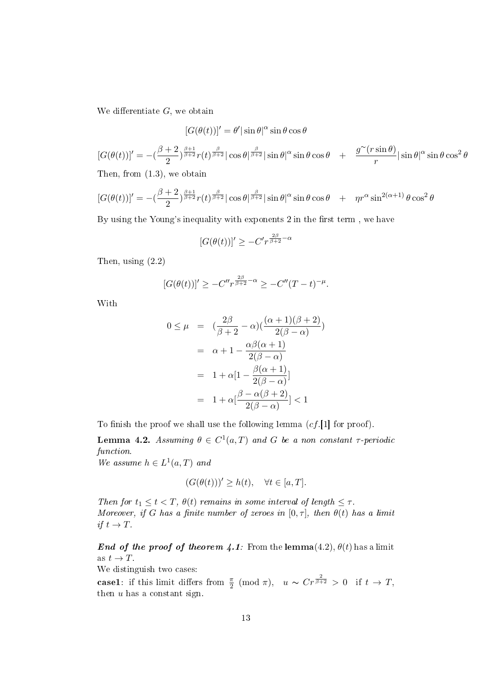We differentiate  $G$ , we obtain

$$
[G(\theta(t))]' = \theta' |\sin \theta|^\alpha \sin \theta \cos \theta
$$

$$
[G(\theta(t))]' = -(\frac{\beta+2}{2})^{\frac{\beta+1}{\beta+2}} r(t)^{\frac{\beta}{\beta+2}} |\cos \theta|^{\frac{\beta}{\beta+2}} |\sin \theta|^{\alpha} \sin \theta \cos \theta + \frac{g^{\infty}(r \sin \theta)}{r} |\sin \theta|^{\alpha} \sin \theta \cos^{2} \theta
$$

Then, from (1.3), we obtain

$$
[G(\theta(t))]' = -(\frac{\beta+2}{2})^{\frac{\beta+1}{\beta+2}} r(t)^{\frac{\beta}{\beta+2}} |\cos \theta|^{\frac{\beta}{\beta+2}} |\sin \theta|^{\alpha} \sin \theta \cos \theta + \eta r^{\alpha} \sin^{2(\alpha+1)} \theta \cos^{2} \theta
$$

By using the Young's inequality with exponents 2 in the first term, we have

$$
[G(\theta(t))]' \geq -C'r^{\frac{2\beta}{\beta+2}-\alpha}
$$

Then, using (2.2)

$$
[G(\theta(t))]' \geq -C''r^{\frac{2\beta}{\beta+2}-\alpha} \geq -C''(T-t)^{-\mu}.
$$

With

$$
0 \le \mu = \left(\frac{2\beta}{\beta+2} - \alpha\right) \left(\frac{(\alpha+1)(\beta+2)}{2(\beta-\alpha)}\right)
$$

$$
= \alpha+1 - \frac{\alpha\beta(\alpha+1)}{2(\beta-\alpha)}
$$

$$
= 1 + \alpha\left[1 - \frac{\beta(\alpha+1)}{2(\beta-\alpha)}\right]
$$

$$
= 1 + \alpha\left[\frac{\beta-\alpha(\beta+2)}{2(\beta-\alpha)}\right] < 1
$$

To finish the proof we shall use the following lemma  $(cf.[1]$  for proof).

**Lemma 4.2.** Assuming  $\theta \in C^1(a,T)$  and G be a non constant  $\tau$ -periodic function.

We assume  $h \in L^1(a,T)$  and

$$
(G(\theta(t)))' \ge h(t), \quad \forall t \in [a, T].
$$

Then for  $t_1 \leq t < T$ ,  $\theta(t)$  remains in some interval of length  $\leq \tau$ . Moreover, if G has a finite number of zeroes in  $[0, \tau]$ , then  $\theta(t)$  has a limit if  $t \to T$ .

**End of the proof of theorem 4.1**: From the lemma(4.2),  $\theta(t)$  has a limit as  $t \to T$ .

We distinguish two cases:

case1: if this limit differs from  $\frac{\pi}{2} \pmod{\pi}$ ,  $u \sim Cr^{\frac{2}{\beta+2}} > 0$  if  $t \to T$ , then  $u$  has a constant sign.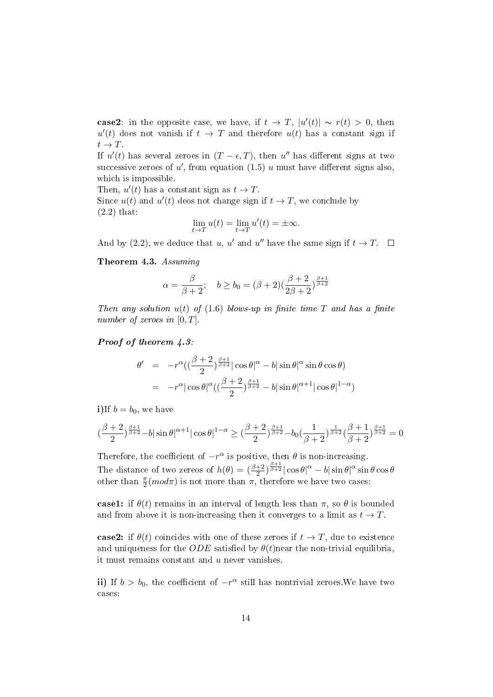case2: in the opposite case, we have, if  $t \to T$ ,  $|u'(t)| \sim r(t) > 0$ , then  $u'(t)$  does not vanish if  $t \to T$  and therefore  $u(t)$  has a constant sign if  $t \to T$ .

If  $u'(t)$  has several zeroes in  $(T - \epsilon, T)$ , then  $u''$  has different signs at two successive zeroes of u', from equation  $(1.5)$  u must have different signs also, which is impossible.

Then,  $u'(t)$  has a constant sign as  $t \to T$ .

Since  $u(t)$  and  $u'(t)$  deos not change sign if  $t \to T$ , we conclude by (2.2) that:

$$
\lim_{t \to T} u(t) = \lim_{t \to T} u'(t) = \pm \infty.
$$

And by (2.2), we deduce that u, u' and u'' have the same sign if  $t \to T$ .

Theorem 4.3. Assuming

$$
\alpha = \frac{\beta}{\beta+2}; \quad b \ge b_0 = (\beta+2)\left(\frac{\beta+2}{2\beta+2}\right)^{\frac{\beta+1}{\beta+2}}
$$

Then any solution  $u(t)$  of (1.6) blows-up in finite time T and has a finite number of zeroes in  $[0, T]$ .

Proof of theorem  $\angle 4.3$ :

$$
\theta' = -r^{\alpha} \left( \left( \frac{\beta+2}{2} \right)^{\frac{\beta+1}{\beta+2}} \right| \cos \theta|^{\alpha} - b |\sin \theta|^{\alpha} \sin \theta \cos \theta)
$$
  
=  $-r^{\alpha} |\cos \theta|^{\alpha} \left( \left( \frac{\beta+2}{2} \right)^{\frac{\beta+1}{\beta+2}} - b |\sin \theta|^{\alpha+1} |\cos \theta|^{1-\alpha} \right)$ 

i)If  $b = b_0$ , we have

$$
(\frac{\beta+2}{2})^{\frac{\beta+1}{\beta+2}}-b|\sin\theta|^{\alpha+1}|\cos\theta|^{1-\alpha}\geq (\frac{\beta+2}{2})^{\frac{\beta+1}{\beta+2}}-b_0(\frac{1}{\beta+2})^{\frac{1}{\beta+2}}(\frac{\beta+1}{\beta+2})^{\frac{\beta+1}{\beta+2}}=0
$$

Therefore, the coefficient of  $-r^{\alpha}$  is positive, then  $\theta$  is non-increasing. The distance of two zereos of  $h(\theta) = \left(\frac{\beta+2}{2}\right)^{\frac{\beta+1}{\beta+2}} \left|\cos \theta\right|^{\alpha} - b|\sin \theta|^{\alpha}\sin \theta\cos \theta$ other than  $\frac{\pi}{2}(mod\pi)$  is not more than  $\pi$ , therefore we have two cases:

case1: if  $\theta(t)$  remains in an interval of length less than  $\pi$ , so  $\theta$  is bounded and from above it is non-increasing then it converges to a limit as  $t \to T$ .

case2: if  $\theta(t)$  coincides with one of these zeroes if  $t \to T$ , due to existence and uniqueness for the ODE satisfied by  $\theta(t)$  near the non-trivial equilibria, it must remains constant and  $u$  never vanishes.

ii) If  $b > b_0$ , the coefficient of  $-r^{\alpha}$  still has nontrivial zeroes. We have two cases: